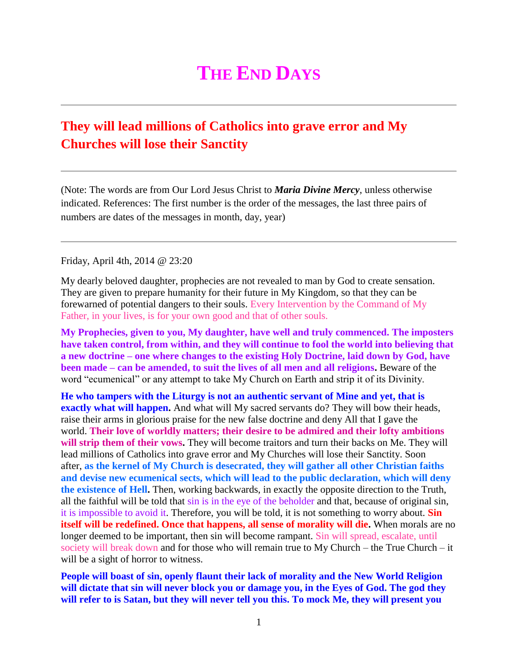## **THE END DAYS**

## **[They will lead millions of Catholics into grave error and My](http://www.thewarningsecondcoming.com/they-will-lead-millions-of-catholics-into-grave-error-and-my-churches-will-lose-their-sanctity/)  [Churches will lose their Sanctity](http://www.thewarningsecondcoming.com/they-will-lead-millions-of-catholics-into-grave-error-and-my-churches-will-lose-their-sanctity/)**

(Note: The words are from Our Lord Jesus Christ to *Maria Divine Mercy*, unless otherwise indicated. References: The first number is the order of the messages, the last three pairs of numbers are dates of the messages in month, day, year)

Friday, April 4th, 2014 @ 23:20

My dearly beloved daughter, prophecies are not revealed to man by God to create sensation. They are given to prepare humanity for their future in My Kingdom, so that they can be forewarned of potential dangers to their souls. Every Intervention by the Command of My Father, in your lives, is for your own good and that of other souls.

**My Prophecies, given to you, My daughter, have well and truly commenced. The imposters have taken control, from within, and they will continue to fool the world into believing that a new doctrine – one where changes to the existing Holy Doctrine, laid down by God, have been made – can be amended, to suit the lives of all men and all religions.** Beware of the word "ecumenical" or any attempt to take My Church on Earth and strip it of its Divinity.

**He who tampers with the Liturgy is not an authentic servant of Mine and yet, that is exactly what will happen.** And what will My sacred servants do? They will bow their heads, raise their arms in glorious praise for the new false doctrine and deny All that I gave the world. **Their love of worldly matters; their desire to be admired and their lofty ambitions will strip them of their vows.** They will become traitors and turn their backs on Me. They will lead millions of Catholics into grave error and My Churches will lose their Sanctity. Soon after, **as the kernel of My Church is desecrated, they will gather all other Christian faiths and devise new ecumenical sects, which will lead to the public declaration, which will deny the existence of Hell.** Then, working backwards, in exactly the opposite direction to the Truth, all the faithful will be told that sin is in the eye of the beholder and that, because of original sin, it is impossible to avoid it. Therefore, you will be told, it is not something to worry about. **Sin itself will be redefined. Once that happens, all sense of morality will die.** When morals are no longer deemed to be important, then sin will become rampant. Sin will spread, escalate, until society will break down and for those who will remain true to My Church – the True Church – it will be a sight of horror to witness.

**People will boast of sin, openly flaunt their lack of morality and the New World Religion will dictate that sin will never block you or damage you, in the Eyes of God. The god they will refer to is Satan, but they will never tell you this. To mock Me, they will present you**